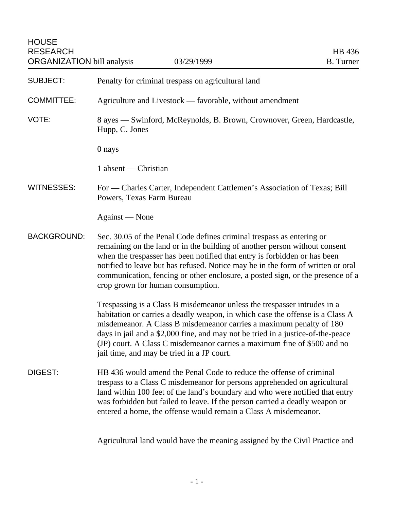| <b>HOUSE</b><br><b>RESEARCH</b><br><b>ORGANIZATION bill analysis</b> | 03/29/1999                                                                                                                                                                                                                                                                                                                                                                                                                                    | HB 436<br><b>B.</b> Turner |  |
|----------------------------------------------------------------------|-----------------------------------------------------------------------------------------------------------------------------------------------------------------------------------------------------------------------------------------------------------------------------------------------------------------------------------------------------------------------------------------------------------------------------------------------|----------------------------|--|
| <b>SUBJECT:</b>                                                      | Penalty for criminal trespass on agricultural land                                                                                                                                                                                                                                                                                                                                                                                            |                            |  |
| <b>COMMITTEE:</b>                                                    | Agriculture and Livestock — favorable, without amendment                                                                                                                                                                                                                                                                                                                                                                                      |                            |  |
| VOTE:                                                                | 8 ayes — Swinford, McReynolds, B. Brown, Crownover, Green, Hardcastle,<br>Hupp, C. Jones                                                                                                                                                                                                                                                                                                                                                      |                            |  |
|                                                                      | 0 nays                                                                                                                                                                                                                                                                                                                                                                                                                                        |                            |  |
|                                                                      | 1 absent — Christian                                                                                                                                                                                                                                                                                                                                                                                                                          |                            |  |
| <b>WITNESSES:</b>                                                    | For — Charles Carter, Independent Cattlemen's Association of Texas; Bill<br>Powers, Texas Farm Bureau                                                                                                                                                                                                                                                                                                                                         |                            |  |
|                                                                      | Against — None                                                                                                                                                                                                                                                                                                                                                                                                                                |                            |  |
| <b>BACKGROUND:</b>                                                   | Sec. 30.05 of the Penal Code defines criminal trespass as entering or<br>remaining on the land or in the building of another person without consent<br>when the trespasser has been notified that entry is forbidden or has been<br>notified to leave but has refused. Notice may be in the form of written or oral<br>communication, fencing or other enclosure, a posted sign, or the presence of a<br>crop grown for human consumption.    |                            |  |
|                                                                      | Trespassing is a Class B misdemeanor unless the trespasser intrudes in a<br>habitation or carries a deadly weapon, in which case the offense is a Class A<br>misdemeanor. A Class B misdemeanor carries a maximum penalty of 180<br>days in jail and a \$2,000 fine, and may not be tried in a justice-of-the-peace<br>(JP) court. A Class C misdemeanor carries a maximum fine of \$500 and no<br>jail time, and may be tried in a JP court. |                            |  |
| DIGEST:                                                              | HB 436 would amend the Penal Code to reduce the offense of criminal<br>trespass to a Class C misdemeanor for persons apprehended on agricultural<br>land within 100 feet of the land's boundary and who were notified that entry<br>was forbidden but failed to leave. If the person carried a deadly weapon or<br>entered a home, the offense would remain a Class A misdemeanor.                                                            |                            |  |

Agricultural land would have the meaning assigned by the Civil Practice and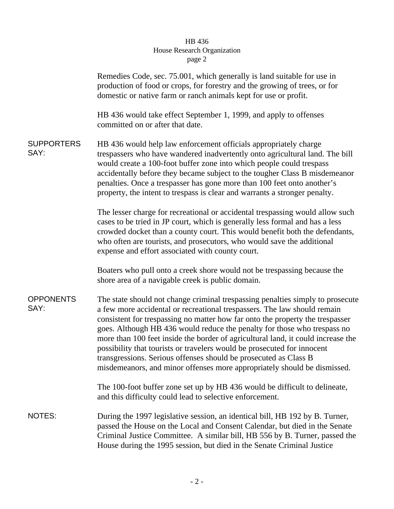## HB 436 House Research Organization page 2

|                           | Remedies Code, sec. 75.001, which generally is land suitable for use in<br>production of food or crops, for forestry and the growing of trees, or for<br>domestic or native farm or ranch animals kept for use or profit.                                                                                                                                                                                                                                                                                                                                                                                                              |
|---------------------------|----------------------------------------------------------------------------------------------------------------------------------------------------------------------------------------------------------------------------------------------------------------------------------------------------------------------------------------------------------------------------------------------------------------------------------------------------------------------------------------------------------------------------------------------------------------------------------------------------------------------------------------|
|                           | HB 436 would take effect September 1, 1999, and apply to offenses<br>committed on or after that date.                                                                                                                                                                                                                                                                                                                                                                                                                                                                                                                                  |
| <b>SUPPORTERS</b><br>SAY: | HB 436 would help law enforcement officials appropriately charge<br>trespassers who have wandered inadvertently onto agricultural land. The bill<br>would create a 100-foot buffer zone into which people could trespass<br>accidentally before they became subject to the tougher Class B misdemeanor<br>penalties. Once a trespasser has gone more than 100 feet onto another's<br>property, the intent to trespass is clear and warrants a stronger penalty.                                                                                                                                                                        |
|                           | The lesser charge for recreational or accidental trespassing would allow such<br>cases to be tried in JP court, which is generally less formal and has a less<br>crowded docket than a county court. This would benefit both the defendants,<br>who often are tourists, and prosecutors, who would save the additional<br>expense and effort associated with county court.                                                                                                                                                                                                                                                             |
|                           | Boaters who pull onto a creek shore would not be trespassing because the<br>shore area of a navigable creek is public domain.                                                                                                                                                                                                                                                                                                                                                                                                                                                                                                          |
| <b>OPPONENTS</b><br>SAY:  | The state should not change criminal trespassing penalties simply to prosecute<br>a few more accidental or recreational trespassers. The law should remain<br>consistent for trespassing no matter how far onto the property the trespasser<br>goes. Although HB 436 would reduce the penalty for those who trespass no<br>more than 100 feet inside the border of agricultural land, it could increase the<br>possibility that tourists or travelers would be prosecuted for innocent<br>transgressions. Serious offenses should be prosecuted as Class B<br>misdemeanors, and minor offenses more appropriately should be dismissed. |
|                           | The 100-foot buffer zone set up by HB 436 would be difficult to delineate,<br>and this difficulty could lead to selective enforcement.                                                                                                                                                                                                                                                                                                                                                                                                                                                                                                 |
| NOTES:                    | During the 1997 legislative session, an identical bill, HB 192 by B. Turner,<br>passed the House on the Local and Consent Calendar, but died in the Senate<br>Criminal Justice Committee. A similar bill, HB 556 by B. Turner, passed the<br>House during the 1995 session, but died in the Senate Criminal Justice                                                                                                                                                                                                                                                                                                                    |